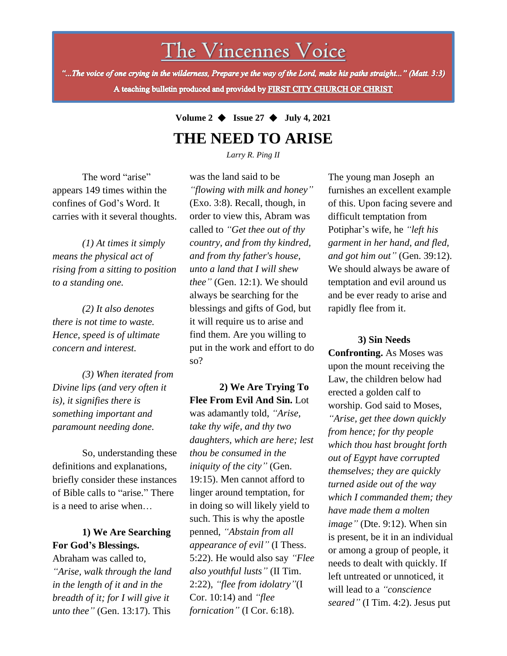The Vincennes Voice

"...The voice of one crying in the wilderness, Prepare ye the way of the Lord, make his paths straight..." (Matt. 3:3) A teaching bulletin produced and provided by FIRST CITY CHURCH OF CHRIST

# **Volume 2** ◆ **Issue 27** ◆ **July 4, 2021 THE NEED TO ARISE**

*Larry R. Ping II*

The word "arise" appears 149 times within the confines of God's Word. It carries with it several thoughts.

*(1) At times it simply means the physical act of rising from a sitting to position to a standing one.*

*(2) It also denotes there is not time to waste. Hence, speed is of ultimate concern and interest.*

*(3) When iterated from Divine lips (and very often it is), it signifies there is something important and paramount needing done.*

So, understanding these definitions and explanations, briefly consider these instances of Bible calls to "arise." There is a need to arise when…

### **1) We Are Searching For God's Blessings.**

"Arise, walk through the land Abraham was called to, *in the length of it and in the breadth of it; for I will give it unto thee"* (Gen. 13:17). This

was the land said to be *"flowing with milk and honey"* (Exo. 3:8). Recall, though, in order to view this, Abram was called to *"Get thee out of thy country, and from thy kindred, and from thy father's house, unto a land that I will shew thee"* (Gen. 12:1). We should always be searching for the blessings and gifts of God, but it will require us to arise and find them. Are you willing to put in the work and effort to do so?

**2) We Are Trying To Flee From Evil And Sin.** Lot was adamantly told, *"Arise, take thy wife, and thy two daughters, which are here; lest thou be consumed in the iniquity of the city"* (Gen. 19:15). Men cannot afford to linger around temptation, for in doing so will likely yield to such. This is why the apostle penned, *"Abstain from all appearance of evil"* (I Thess. 5:22). He would also say *"Flee also youthful lusts"* (II Tim. 2:22), *"flee from idolatry"*(I Cor. 10:14) and *"flee fornication"* (I Cor. 6:18).

The young man Joseph an furnishes an excellent example of this. Upon facing severe and difficult temptation from Potiphar's wife, he *"left his garment in her hand, and fled, and got him out"* (Gen. 39:12). We should always be aware of temptation and evil around us and be ever ready to arise and rapidly flee from it.

#### **3) Sin Needs**

**Confronting.** As Moses was upon the mount receiving the Law, the children below had erected a golden calf to worship. God said to Moses, *"Arise, get thee down quickly from hence; for thy people which thou hast brought forth out of Egypt have corrupted themselves; they are quickly turned aside out of the way which I commanded them; they have made them a molten image"* (Dte. 9:12). When sin is present, be it in an individual or among a group of people, it needs to dealt with quickly. If left untreated or unnoticed, it will lead to a *"conscience seared"* (I Tim. 4:2). Jesus put